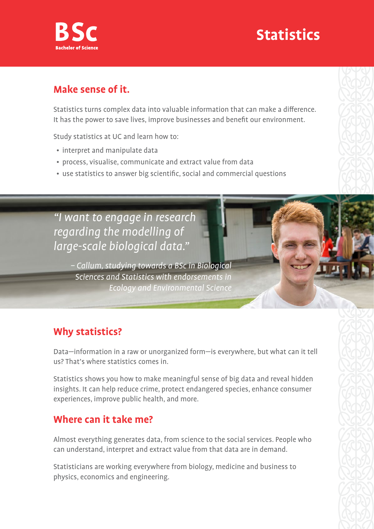

## **Statistics**

#### **Make sense of it.**

Statistics turns complex data into valuable information that can make a difference. It has the power to save lives, improve businesses and benefit our environment.

Study statistics at UC and learn how to:

- interpret and manipulate data
- process, visualise, communicate and extract value from data
- use statistics to answer big scientific, social and commercial questions

"I want to engage in research regarding the modelling of large-scale biological data."

> – Callum, studying towards a BSc in Biological Sciences and Statistics with endorsements in Ecology and Environmental Science

## **Why statistics?**

Data—information in a raw or unorganized form—is everywhere, but what can it tell us? That's where statistics comes in.

Statistics shows you how to make meaningful sense of big data and reveal hidden insights. It can help reduce crime, protect endangered species, enhance consumer experiences, improve public health, and more.

#### **Where can it take me?**

Almost everything generates data, from science to the social services. People who can understand, interpret and extract value from that data are in demand.

Statisticians are working everywhere from biology, medicine and business to physics, economics and engineering.